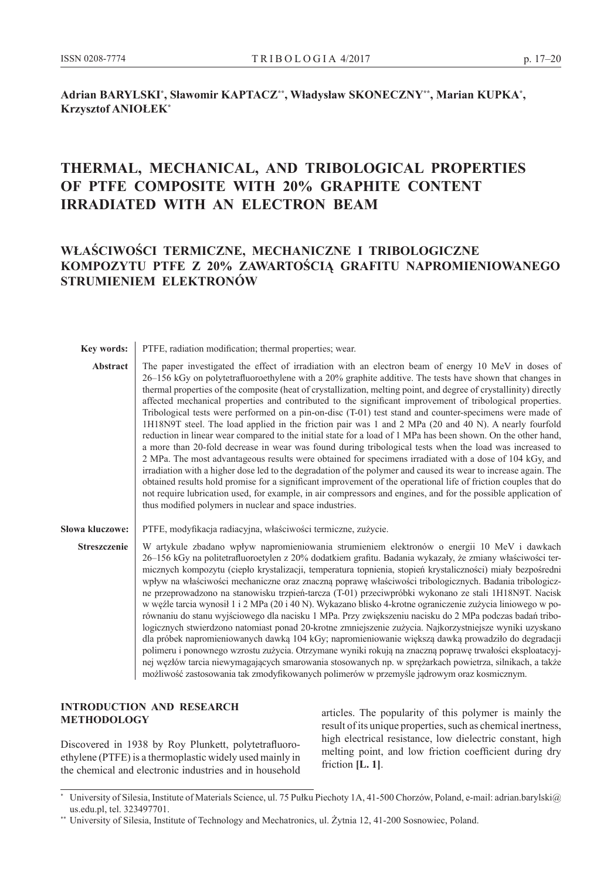### **Adrian BARYLSKI\* , Sławomir KAPTACZ\*\*, Władysław SKONECZNY\*\*, Marian KUPKA\* , Krzysztof ANIOŁEK\***

# **THERMAL, MECHANICAL, AND TRIBOLOGICAL PROPERTIES OF PTFE COMPOSITE WITH 20% GRAPHITE CONTENT IRRADIATED WITH AN ELECTRON BEAM**

## **WŁAŚCIWOŚCI TERMICZNE, MECHANICZNE I TRIBOLOGICZNE KOMPOZYTU PTFE Z 20% ZAWARTOŚCIĄ GRAFITU NAPROMIENIOWANEGO STRUMIENIEM ELEKTRONÓW**

**Key words:** PTFE, radiation modification; thermal properties; wear.

Abstract The paper investigated the effect of irradiation with an electron beam of energy 10 MeV in doses of 26–156 kGy on polytetrafluoroethylene with a 20% graphite additive. The tests have shown that changes in thermal properties of the composite (heat of crystallization, melting point, and degree of crystallinity) directly affected mechanical properties and contributed to the significant improvement of tribological properties. Tribological tests were performed on a pin-on-disc (T-01) test stand and counter-specimens were made of 1H18N9T steel. The load applied in the friction pair was 1 and 2 MPa (20 and 40 N). A nearly fourfold reduction in linear wear compared to the initial state for a load of 1 MPa has been shown. On the other hand, a more than 20-fold decrease in wear was found during tribological tests when the load was increased to 2 MPa. The most advantageous results were obtained for specimens irradiated with a dose of 104 kGy, and irradiation with a higher dose led to the degradation of the polymer and caused its wear to increase again. The obtained results hold promise for a significant improvement of the operational life of friction couples that do not require lubrication used, for example, in air compressors and engines, and for the possible application of thus modified polymers in nuclear and space industries.

Słowa kluczowe: **PTFE**, modyfikacja radiacyjna, właściwości termiczne, zużycie.

**Streszczenie** W artykule zbadano wpływ napromieniowania strumieniem elektronów o energii 10 MeV i dawkach 26–156 kGy na politetrafluoroetylen z 20% dodatkiem grafitu. Badania wykazały, że zmiany właściwości termicznych kompozytu (ciepło krystalizacji, temperatura topnienia, stopień krystaliczności) miały bezpośredni wpływ na właściwości mechaniczne oraz znaczną poprawę właściwości tribologicznych. Badania tribologiczne przeprowadzono na stanowisku trzpień-tarcza (T-01) przeciwpróbki wykonano ze stali 1H18N9T. Nacisk w węźle tarcia wynosił 1 i 2 MPa (20 i 40 N). Wykazano blisko 4-krotne ograniczenie zużycia liniowego w porównaniu do stanu wyjściowego dla nacisku 1 MPa. Przy zwiększeniu nacisku do 2 MPa podczas badań tribologicznych stwierdzono natomiast ponad 20-krotne zmniejszenie zużycia. Najkorzystniejsze wyniki uzyskano dla próbek napromieniowanych dawką 104 kGy; napromieniowanie większą dawką prowadziło do degradacji polimeru i ponownego wzrostu zużycia. Otrzymane wyniki rokują na znaczną poprawę trwałości eksploatacyjnej węzłów tarcia niewymagających smarowania stosowanych np. w sprężarkach powietrza, silnikach, a także możliwość zastosowania tak zmodyfikowanych polimerów w przemyśle jądrowym oraz kosmicznym.

#### **INTRODUCTION AND RESEARCH METHODOLOGY**

Discovered in 1938 by Roy Plunkett, polytetrafluoroethylene (PTFE) is a thermoplastic widely used mainly in the chemical and electronic industries and in household articles. The popularity of this polymer is mainly the result of its unique properties, such as chemical inertness, high electrical resistance, low dielectric constant, high melting point, and low friction coefficient during dry friction **[L. 1]**.

University of Silesia, Institute of Materials Science, ul. 75 Pułku Piechoty 1A, 41-500 Chorzów, Poland, e-mail: adrian.barylski@ us.edu.pl, tel. 323497701.

<sup>\*\*</sup> University of Silesia, Institute of Technology and Mechatronics, ul. Żytnia 12, 41-200 Sosnowiec, Poland.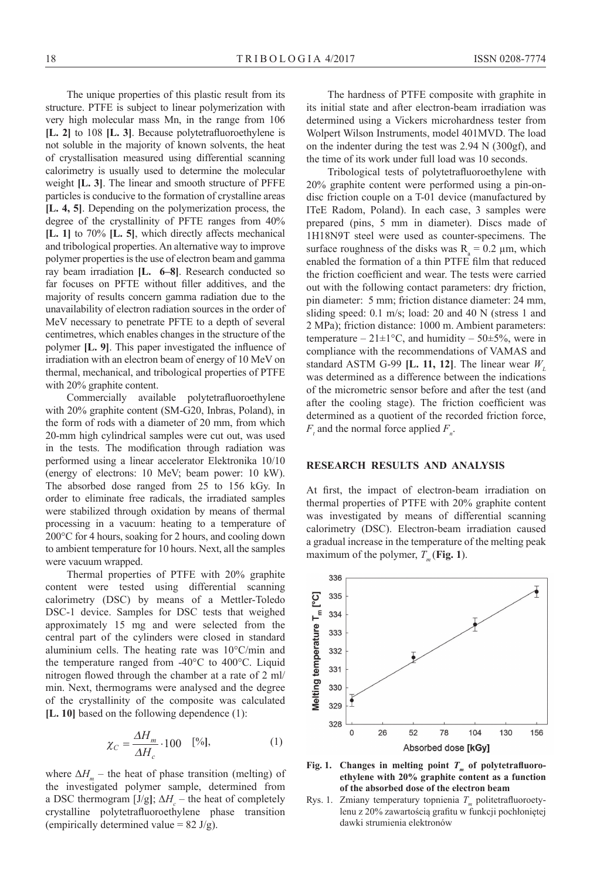The unique properties of this plastic result from its structure. PTFE is subject to linear polymerization with very high molecular mass Mn, in the range from 106 **[L. 2]** to 108 **[L. 3]**. Because polytetrafluoroethylene is not soluble in the majority of known solvents, the heat of crystallisation measured using differential scanning calorimetry is usually used to determine the molecular weight **[L. 3]**. The linear and smooth structure of PFFE particles is conducive to the formation of crystalline areas **[L. 4, 5]**. Depending on the polymerization process, the degree of the crystallinity of PFTE ranges from 40% **[L. 1]** to 70% **[L. 5]**, which directly affects mechanical and tribological properties. An alternative way to improve polymer properties is the use of electron beam and gamma ray beam irradiation **[L. 6–8]**. Research conducted so far focuses on PFTE without filler additives, and the majority of results concern gamma radiation due to the unavailability of electron radiation sources in the order of MeV necessary to penetrate PFTE to a depth of several centimetres, which enables changes in the structure of the polymer **[L. 9]**. This paper investigated the influence of irradiation with an electron beam of energy of 10 MeV on thermal, mechanical, and tribological properties of PTFE with 20% graphite content.

Commercially available polytetrafluoroethylene with 20% graphite content (SM-G20, Inbras, Poland), in the form of rods with a diameter of 20 mm, from which 20-mm high cylindrical samples were cut out, was used in the tests. The modification through radiation was performed using a linear accelerator Elektronika 10/10 (energy of electrons: 10 MeV; beam power: 10 kW). The absorbed dose ranged from 25 to 156 kGy. In order to eliminate free radicals, the irradiated samples were stabilized through oxidation by means of thermal processing in a vacuum: heating to a temperature of 200°C for 4 hours, soaking for 2 hours, and cooling down to ambient temperature for 10 hours. Next, all the samples were vacuum wrapped.

Thermal properties of PTFE with 20% graphite content were tested using differential scanning calorimetry (DSC) by means of a Mettler-Toledo DSC-1 device. Samples for DSC tests that weighed approximately 15 mg and were selected from the central part of the cylinders were closed in standard aluminium cells. The heating rate was 10°C/min and the temperature ranged from -40°C to 400°C. Liquid nitrogen flowed through the chamber at a rate of 2 ml/ min. Next, thermograms were analysed and the degree of the crystallinity of the composite was calculated **[L. 10]** based on the following dependence (1):

$$
\chi_C = \frac{\Delta H_m}{\Delta H_c} \cdot 100 \quad [\%], \tag{1}
$$

where  $\Delta H_m$  – the heat of phase transition (melting) of the investigated polymer sample, determined from a DSC thermogram [J/g];  $\Delta H_c$  – the heat of completely crystalline polytetrafluoroethylene phase transition (empirically determined value =  $82 \text{ J/g}$ ).

The hardness of PTFE composite with graphite in its initial state and after electron-beam irradiation was determined using a Vickers microhardness tester from Wolpert Wilson Instruments, model 401MVD. The load on the indenter during the test was 2.94 N (300gf), and the time of its work under full load was 10 seconds.

Tribological tests of polytetrafluoroethylene with 20% graphite content were performed using a pin-ondisc friction couple on a T-01 device (manufactured by ITeE Radom, Poland). In each case, 3 samples were prepared (pins, 5 mm in diameter). Discs made of 1H18N9T steel were used as counter-specimens. The surface roughness of the disks was  $R_a = 0.2 \mu m$ , which enabled the formation of a thin PTFE film that reduced the friction coefficient and wear. The tests were carried out with the following contact parameters: dry friction, pin diameter: 5 mm; friction distance diameter: 24 mm, sliding speed: 0.1 m/s; load: 20 and 40 N (stress 1 and 2 MPa); friction distance: 1000 m. Ambient parameters: temperature –  $21 \pm 1$ °C, and humidity –  $50 \pm 5$ %, were in compliance with the recommendations of VAMAS and standard ASTM G-99 **[L. 11, 12]**. The linear wear  $W<sub>L</sub>$ was determined as a difference between the indications of the micrometric sensor before and after the test (and after the cooling stage). The friction coefficient was determined as a quotient of the recorded friction force,  $F_t$  and the normal force applied  $F_n$ .

#### **RESEARCH RESULTS AND ANALYSIS**

At first, the impact of electron-beam irradiation on thermal properties of PTFE with 20% graphite content was investigated by means of differential scanning calorimetry (DSC). Electron-beam irradiation caused a gradual increase in the temperature of the melting peak maximum of the polymer,  $T_m$  (**Fig. 1**).



Fig. 1. Changes in melting point  $T<sub>m</sub>$  of polytetrafluoro**ethylene with 20% graphite content as a function of the absorbed dose of the electron beam**

Rys. 1. Zmiany temperatury topnienia *T* politetrafluoroetylenu z 20% zawartością grafitu w funkcji pochłoniętej dawki strumienia elektronów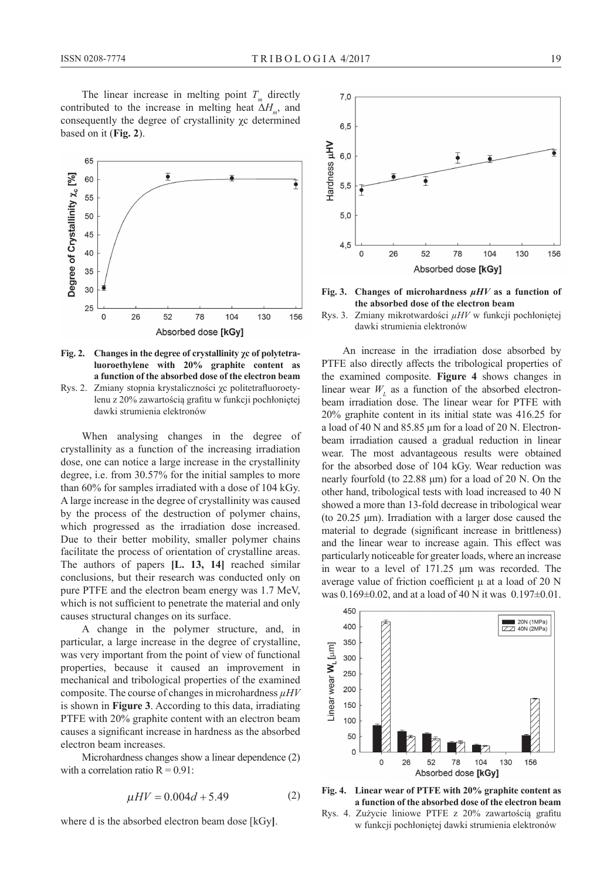The linear increase in melting point  $T<sub>m</sub>$  directly contributed to the increase in melting heat  $\Delta H$ <sub>m</sub>, and consequently the degree of crystallinity χc determined based on it (**Fig. 2**).



**Fig. 2. Changes in the degree of crystallinity χc of polytetraluoroethylene with 20% graphite content as a function of the absorbed dose of the electron beam** Rys. 2. Zmiany stopnia krystaliczności χc politetrafluoroety-

lenu z 20% zawartością grafitu w funkcji pochłoniętej dawki strumienia elektronów

When analysing changes in the degree of crystallinity as a function of the increasing irradiation dose, one can notice a large increase in the crystallinity degree, i.e. from 30.57% for the initial samples to more than 60% for samples irradiated with a dose of 104 kGy. A large increase in the degree of crystallinity was caused by the process of the destruction of polymer chains, which progressed as the irradiation dose increased. Due to their better mobility, smaller polymer chains facilitate the process of orientation of crystalline areas. The authors of papers **[L. 13, 14]** reached similar conclusions, but their research was conducted only on pure PTFE and the electron beam energy was 1.7 MeV, which is not sufficient to penetrate the material and only causes structural changes on its surface.

A change in the polymer structure, and, in particular, a large increase in the degree of crystalline, was very important from the point of view of functional properties, because it caused an improvement in mechanical and tribological properties of the examined composite. The course of changes in microhardness *µHV* is shown in **Figure 3**. According to this data, irradiating PTFE with 20% graphite content with an electron beam causes a significant increase in hardness as the absorbed electron beam increases.

Microhardness changes show a linear dependence (2) with a correlation ratio  $R = 0.91$ :

$$
\mu H V = 0.004d + 5.49\tag{2}
$$

where d is the absorbed electron beam dose [kGy**]**.



**Fig. 3. Changes of microhardness** *μHV* **as a function of the absorbed dose of the electron beam**

Rys. 3. Zmiany mikrotwardości *µHV* w funkcji pochłoniętej dawki strumienia elektronów

An increase in the irradiation dose absorbed by PTFE also directly affects the tribological properties of the examined composite. **Figure 4** shows changes in linear wear  $W<sub>L</sub>$  as a function of the absorbed electronbeam irradiation dose. The linear wear for PTFE with 20% graphite content in its initial state was 416.25 for a load of 40 N and 85.85 μm for a load of 20 N. Electronbeam irradiation caused a gradual reduction in linear wear. The most advantageous results were obtained for the absorbed dose of 104 kGy. Wear reduction was nearly fourfold (to 22.88 μm) for a load of 20 N. On the other hand, tribological tests with load increased to 40 N showed a more than 13-fold decrease in tribological wear (to 20.25 μm). Irradiation with a larger dose caused the material to degrade (significant increase in brittleness) and the linear wear to increase again. This effect was particularly noticeable for greater loads, where an increase in wear to a level of 171.25 μm was recorded. The average value of friction coefficient  $\mu$  at a load of 20 N was  $0.169 \pm 0.02$ , and at a load of 40 N it was  $0.197 \pm 0.01$ .





Rys. 4. Zużycie liniowe PTFE z 20% zawartością grafitu w funkcji pochłoniętej dawki strumienia elektronów